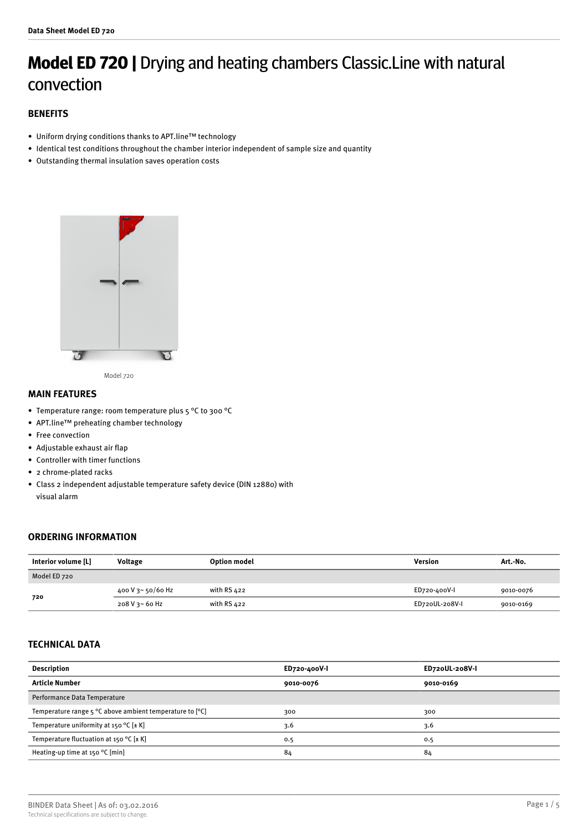# **Model ED 720 |** Drying and heating chambers Classic.Line with natural convection

## **BENEFITS**

- Uniform drying conditions thanks to APT.line™ technology
- Identical test conditions throughout the chamber interior independent of sample size and quantity
- Outstanding thermal insulation saves operation costs



Model 720

## **MAIN FEATURES**

- Temperature range: room temperature plus 5 °C to 300 °C
- APT.line™ preheating chamber technology
- Free convection
- Adjustable exhaust air flap
- Controller with timer functions
- 2 chrome-plated racks
- Class 2 independent adjustable temperature safety device (DIN 12880) with visual alarm

## **ORDERING INFORMATION**

| Interior volume [L] | <b>Voltage</b>    | <b>Option model</b> | Version        | Art.-No.  |
|---------------------|-------------------|---------------------|----------------|-----------|
| Model ED 720        |                   |                     |                |           |
| 720                 | 400 V 3~ 50/60 Hz | with RS $422$       | ED720-400V-I   | 9010-0076 |
|                     | 208 V 3~ 60 Hz    | with RS 422         | ED720UL-208V-I | 9010-0169 |

# **TECHNICAL DATA**

| <b>Description</b>                                       | ED720-400V-I | ED720UL-208V-I |
|----------------------------------------------------------|--------------|----------------|
| <b>Article Number</b>                                    | 9010-0076    | 9010-0169      |
| Performance Data Temperature                             |              |                |
| Temperature range 5 °C above ambient temperature to [°C] | 300          | 300            |
| Temperature uniformity at 150 °C [ $\pm$ K]              | 3.6          | 3.6            |
| Temperature fluctuation at 150 °C [ $\pm$ K]             | 0.5          | 0.5            |
| Heating-up time at 150 °C [min]                          | 84           | 84             |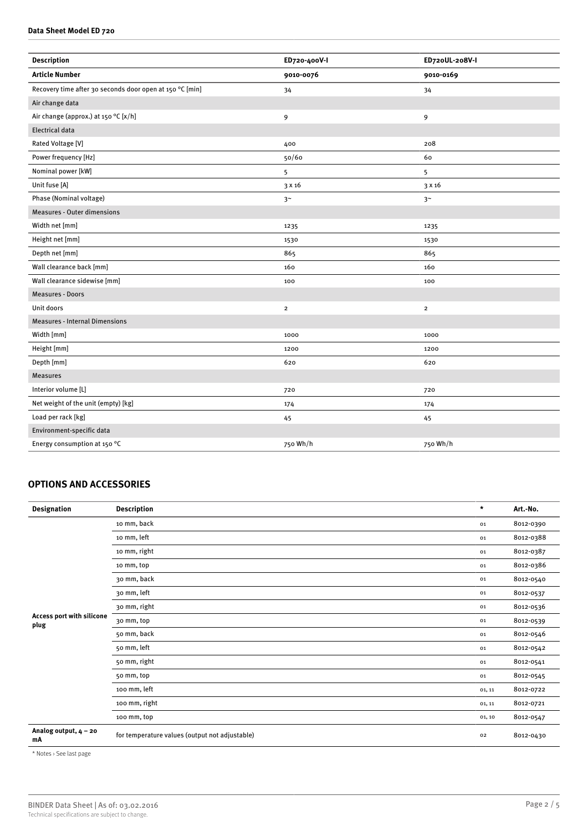### **Data Sheet Model ED 720**

| <b>Description</b>                                       | ED720-400V-I   | ED720UL-208V-I |
|----------------------------------------------------------|----------------|----------------|
| <b>Article Number</b>                                    | 9010-0076      | 9010-0169      |
| Recovery time after 30 seconds door open at 150 °C [min] | 34             | 34             |
| Air change data                                          |                |                |
| Air change (approx.) at 150 °C [x/h]                     | 9              | 9              |
| <b>Electrical data</b>                                   |                |                |
| Rated Voltage [V]                                        | 400            | 208            |
| Power frequency [Hz]                                     | 50/60          | 60             |
| Nominal power [kW]                                       | 5              | 5              |
| Unit fuse [A]                                            | 3 x 16         | 3 x 16         |
| Phase (Nominal voltage)                                  | 3 <sup>~</sup> | 3 <sup>~</sup> |
| <b>Measures - Outer dimensions</b>                       |                |                |
| Width net [mm]                                           | 1235           | 1235           |
| Height net [mm]                                          | 1530           | 1530           |
| Depth net [mm]                                           | 865            | 865            |
| Wall clearance back [mm]                                 | 160            | 160            |
| Wall clearance sidewise [mm]                             | 100            | 100            |
| <b>Measures - Doors</b>                                  |                |                |
| Unit doors                                               | $\overline{2}$ | $\overline{2}$ |
| <b>Measures - Internal Dimensions</b>                    |                |                |
| Width [mm]                                               | 1000           | 1000           |
| Height [mm]                                              | 1200           | 1200           |
| Depth [mm]                                               | 620            | 620            |
| <b>Measures</b>                                          |                |                |
| Interior volume [L]                                      | 720            | 720            |
| Net weight of the unit (empty) [kg]                      | 174            | 174            |
| Load per rack [kg]                                       | 45             | 45             |
| Environment-specific data                                |                |                |
| Energy consumption at 150 °C                             | 750 Wh/h       | 750 Wh/h       |

# **OPTIONS AND ACCESSORIES**

| <b>Designation</b>                | <b>Description</b>                             | $\star$ | Art.-No.  |
|-----------------------------------|------------------------------------------------|---------|-----------|
| Access port with silicone<br>plug | 10 mm, back                                    | 01      | 8012-0390 |
|                                   | 10 mm, left                                    | 01      | 8012-0388 |
|                                   | 10 mm, right                                   | 01      | 8012-0387 |
|                                   | 10 mm, top                                     | 01      | 8012-0386 |
|                                   | 30 mm, back                                    | 01      | 8012-0540 |
|                                   | 30 mm, left                                    | 01      | 8012-0537 |
|                                   | 30 mm, right                                   | 01      | 8012-0536 |
|                                   | 30 mm, top                                     | 01      | 8012-0539 |
|                                   | 50 mm, back                                    | 01      | 8012-0546 |
|                                   | 50 mm, left                                    | 01      | 8012-0542 |
|                                   | 50 mm, right                                   | 01      | 8012-0541 |
|                                   | 50 mm, top                                     | 01      | 8012-0545 |
|                                   | 100 mm, left                                   | 01, 11  | 8012-0722 |
|                                   | 100 mm, right                                  | 01, 11  | 8012-0721 |
|                                   | 100 mm, top                                    | 01, 10  | 8012-0547 |
| Analog output, $4 - 20$<br>mA     | for temperature values (output not adjustable) | 02      | 8012-0430 |

\* Notes › See last page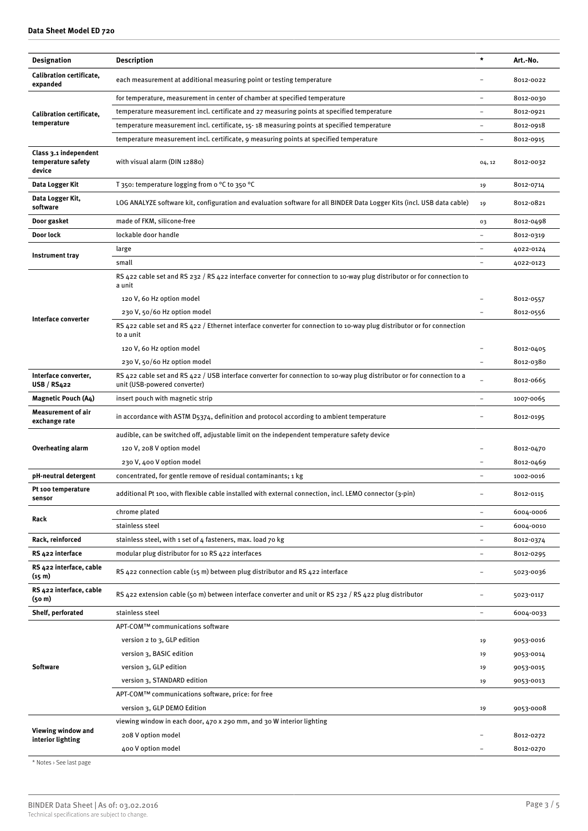| <b>Designation</b>                                    | <b>Description</b>                                                                                                                                     | $\star$                  | Art.-No.  |
|-------------------------------------------------------|--------------------------------------------------------------------------------------------------------------------------------------------------------|--------------------------|-----------|
| <b>Calibration certificate,</b><br>expanded           | each measurement at additional measuring point or testing temperature                                                                                  |                          | 8012-0022 |
|                                                       | for temperature, measurement in center of chamber at specified temperature                                                                             |                          | 8012-0030 |
| <b>Calibration certificate,</b>                       | temperature measurement incl. certificate and 27 measuring points at specified temperature                                                             |                          | 8012-0921 |
| temperature                                           | temperature measurement incl. certificate, 15-18 measuring points at specified temperature                                                             |                          | 8012-0918 |
|                                                       | temperature measurement incl. certificate, 9 measuring points at specified temperature                                                                 |                          | 8012-0915 |
| Class 3.1 independent<br>temperature safety<br>device | with visual alarm (DIN 12880)                                                                                                                          | 04, 12                   | 8012-0032 |
| Data Logger Kit                                       | T 350: temperature logging from o °C to 350 °C                                                                                                         | 19                       | 8012-0714 |
| Data Logger Kit,<br>software                          | LOG ANALYZE software kit, configuration and evaluation software for all BINDER Data Logger Kits (incl. USB data cable)                                 | 19                       | 8012-0821 |
| Door gasket                                           | made of FKM, silicone-free                                                                                                                             | 03                       | 8012-0498 |
| Door lock                                             | lockable door handle                                                                                                                                   |                          | 8012-0319 |
|                                                       | large                                                                                                                                                  |                          | 4022-0124 |
| Instrument tray                                       | small                                                                                                                                                  |                          | 4022-0123 |
|                                                       | RS 422 cable set and RS 232 / RS 422 interface converter for connection to 10-way plug distributor or for connection to<br>a unit                      |                          |           |
|                                                       | 120 V, 60 Hz option model                                                                                                                              |                          | 8012-0557 |
|                                                       | 230 V, 50/60 Hz option model                                                                                                                           |                          | 8012-0556 |
| Interface converter                                   | RS 422 cable set and RS 422 / Ethernet interface converter for connection to 10-way plug distributor or for connection<br>to a unit                    |                          |           |
|                                                       | 120 V, 60 Hz option model                                                                                                                              |                          | 8012-0405 |
|                                                       | 230 V, 50/60 Hz option model                                                                                                                           |                          | 8012-0380 |
| Interface converter,<br><b>USB / RS422</b>            | RS 422 cable set and RS 422 / USB interface converter for connection to 10-way plug distributor or for connection to a<br>unit (USB-powered converter) |                          | 8012-0665 |
| <b>Magnetic Pouch (A4)</b>                            | insert pouch with magnetic strip                                                                                                                       |                          | 1007-0065 |
| Measurement of air<br>exchange rate                   | in accordance with ASTM D5374, definition and protocol according to ambient temperature                                                                |                          | 8012-0195 |
|                                                       | audible, can be switched off, adjustable limit on the independent temperature safety device                                                            |                          |           |
| Overheating alarm                                     | 120 V, 208 V option model                                                                                                                              |                          | 8012-0470 |
|                                                       | 230 V, 400 V option model                                                                                                                              |                          | 8012-0469 |
| pH-neutral detergent                                  | concentrated, for gentle remove of residual contaminants; 1 kg                                                                                         | $\overline{\phantom{m}}$ | 1002-0016 |
| Pt 100 temperature<br>sensor                          | additional Pt 100, with flexible cable installed with external connection, incl. LEMO connector (3-pin)                                                | $\overline{\phantom{a}}$ | 8012-0115 |
|                                                       | chrome plated                                                                                                                                          |                          | 6004-0006 |
| Rack                                                  | stainless steel                                                                                                                                        | $\overline{\phantom{a}}$ | 6004-0010 |
| Rack, reinforced                                      | stainless steel, with 1 set of 4 fasteners, max. load 70 kg                                                                                            |                          | 8012-0374 |
| RS 422 interface                                      | modular plug distributor for 10 RS 422 interfaces                                                                                                      | $\overline{\phantom{a}}$ | 8012-0295 |
| RS 422 interface, cable<br>(15 m)                     | RS 422 connection cable (15 m) between plug distributor and RS 422 interface                                                                           |                          | 5023-0036 |
| RS 422 interface, cable<br>(50 m)                     | RS 422 extension cable (50 m) between interface converter and unit or RS 232 / RS 422 plug distributor                                                 |                          | 5023-0117 |
| Shelf, perforated                                     | stainless steel                                                                                                                                        | $\qquad \qquad -$        | 6004-0033 |
| <b>Software</b>                                       | APT-COM™ communications software                                                                                                                       |                          |           |
|                                                       | version 2 to 3, GLP edition                                                                                                                            | 19                       | 9053-0016 |
|                                                       | version 3, BASIC edition                                                                                                                               | 19                       | 9053-0014 |
|                                                       | version 3, GLP edition                                                                                                                                 | 19                       | 9053-0015 |
|                                                       | version 3, STANDARD edition                                                                                                                            | 19                       | 9053-0013 |
|                                                       | APT-COM™ communications software, price: for free                                                                                                      |                          |           |
|                                                       | version 3, GLP DEMO Edition                                                                                                                            | 19                       | 9053-0008 |
| Viewing window and<br>interior lighting               | viewing window in each door, 470 x 290 mm, and 30 W interior lighting                                                                                  |                          |           |
|                                                       | 208 V option model                                                                                                                                     |                          | 8012-0272 |
|                                                       | 400 V option model                                                                                                                                     |                          | 8012-0270 |

\* Notes › See last page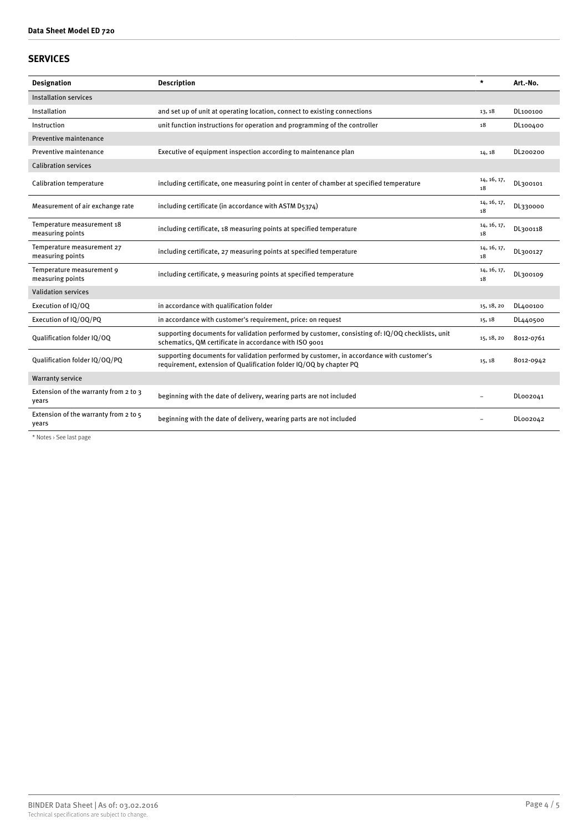## **SERVICES**

| <b>Designation</b>                             | <b>Description</b>                                                                                                                                             | $\star$           | Art.-No.  |
|------------------------------------------------|----------------------------------------------------------------------------------------------------------------------------------------------------------------|-------------------|-----------|
| Installation services                          |                                                                                                                                                                |                   |           |
| Installation                                   | and set up of unit at operating location, connect to existing connections                                                                                      | 13, 18            | DL100100  |
| Instruction                                    | unit function instructions for operation and programming of the controller                                                                                     | 18                | DL100400  |
| Preventive maintenance                         |                                                                                                                                                                |                   |           |
| Preventive maintenance                         | Executive of equipment inspection according to maintenance plan                                                                                                | 14, 18            | DL200200  |
| <b>Calibration services</b>                    |                                                                                                                                                                |                   |           |
| <b>Calibration temperature</b>                 | including certificate, one measuring point in center of chamber at specified temperature                                                                       | 14, 16, 17,<br>18 | DL300101  |
| Measurement of air exchange rate               | including certificate (in accordance with ASTM D5374)                                                                                                          | 14, 16, 17,<br>18 | DL330000  |
| Temperature measurement 18<br>measuring points | including certificate, 18 measuring points at specified temperature                                                                                            | 14, 16, 17,<br>18 | DL300118  |
| Temperature measurement 27<br>measuring points | including certificate, 27 measuring points at specified temperature                                                                                            | 14, 16, 17,<br>18 | DL300127  |
| Temperature measurement 9<br>measuring points  | including certificate, 9 measuring points at specified temperature                                                                                             | 14, 16, 17,<br>18 | DL300109  |
| <b>Validation services</b>                     |                                                                                                                                                                |                   |           |
| Execution of IQ/OQ                             | in accordance with qualification folder                                                                                                                        | 15, 18, 20        | DL400100  |
| Execution of IQ/OQ/PQ                          | in accordance with customer's requirement, price: on request                                                                                                   | 15, 18            | DL440500  |
| Qualification folder IQ/OQ                     | supporting documents for validation performed by customer, consisting of: IQ/OQ checklists, unit<br>schematics, QM certificate in accordance with ISO 9001     | 15, 18, 20        | 8012-0761 |
| Qualification folder IQ/OQ/PQ                  | supporting documents for validation performed by customer, in accordance with customer's<br>requirement, extension of Qualification folder IQ/OQ by chapter PQ | 15, 18            | 8012-0942 |
| <b>Warranty service</b>                        |                                                                                                                                                                |                   |           |
| Extension of the warranty from 2 to 3<br>years | beginning with the date of delivery, wearing parts are not included                                                                                            |                   | DL002041  |
| Extension of the warranty from 2 to 5<br>years | beginning with the date of delivery, wearing parts are not included                                                                                            |                   | DL002042  |

\* Notes › See last page